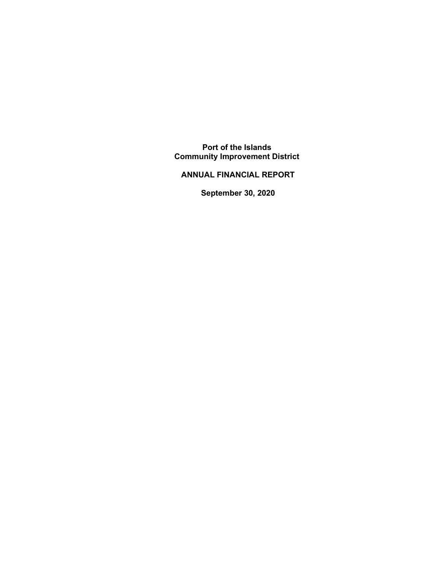**Community Improvement District Port of the Islands** 

**ANNUAL FINANCIAL REPORT** 

**September 30, 2020**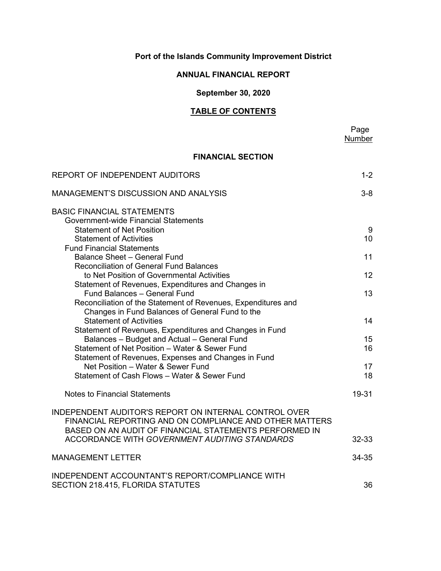#### **Port of the Islands Community Improvement District**

#### **ANNUAL FINANCIAL REPORT**

#### **September 30, 2020**

#### **TABLE OF CONTENTS**

|                                                                                                                                                                            | Page<br>Number |
|----------------------------------------------------------------------------------------------------------------------------------------------------------------------------|----------------|
| <b>FINANCIAL SECTION</b>                                                                                                                                                   |                |
| REPORT OF INDEPENDENT AUDITORS                                                                                                                                             | $1 - 2$        |
| <b>MANAGEMENT'S DISCUSSION AND ANALYSIS</b>                                                                                                                                | $3 - 8$        |
| <b>BASIC FINANCIAL STATEMENTS</b><br>Government-wide Financial Statements<br><b>Statement of Net Position</b>                                                              | 9              |
| <b>Statement of Activities</b>                                                                                                                                             | 10             |
| <b>Fund Financial Statements</b><br><b>Balance Sheet - General Fund</b>                                                                                                    | 11             |
| <b>Reconciliation of General Fund Balances</b><br>to Net Position of Governmental Activities<br>Statement of Revenues, Expenditures and Changes in                         | 12             |
| Fund Balances - General Fund<br>Reconciliation of the Statement of Revenues, Expenditures and<br>Changes in Fund Balances of General Fund to the                           | 13             |
| <b>Statement of Activities</b><br>Statement of Revenues, Expenditures and Changes in Fund                                                                                  | 14             |
| Balances - Budget and Actual - General Fund                                                                                                                                | 15             |
| Statement of Net Position - Water & Sewer Fund<br>Statement of Revenues, Expenses and Changes in Fund                                                                      | 16             |
| Net Position - Water & Sewer Fund                                                                                                                                          | 17             |
| Statement of Cash Flows - Water & Sewer Fund                                                                                                                               | 18             |
| <b>Notes to Financial Statements</b>                                                                                                                                       | 19-31          |
| INDEPENDENT AUDITOR'S REPORT ON INTERNAL CONTROL OVER<br>FINANCIAL REPORTING AND ON COMPLIANCE AND OTHER MATTERS<br>BASED ON AN AUDIT OF FINANCIAL STATEMENTS PERFORMED IN |                |
| ACCORDANCE WITH GOVERNMENT AUDITING STANDARDS                                                                                                                              | 32-33          |
| <b>MANAGEMENT LETTER</b>                                                                                                                                                   | 34-35          |
| INDEPENDENT ACCOUNTANT'S REPORT/COMPLIANCE WITH<br><b>SECTION 218.415, FLORIDA STATUTES</b>                                                                                | 36             |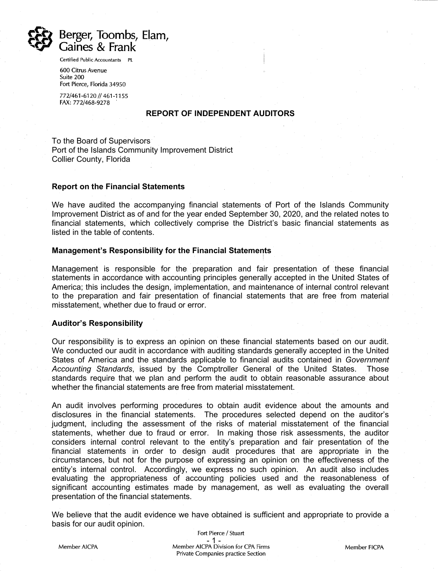

Certified Public Accountants PL

600 Citrus Avenue Suite 200 Fort Pierce, Florida 34950

7721461-6120 II 461-1155 FAX: 772/468-9278

#### **REPORT OF INDEPENDENT AUDITORS**

To the Board of Supervisors Port of the Islands Community Improvement District Collier County, Florida

#### **Report on the Financial Statements**

 Improvement District as of and for the year ended September 30, 2020, and the related notes to We have audited the accompanying financial statements of Port of the Islands Community financial statements, which collectively comprise the District's basic financial statements as listed in the table of contents.

#### **Management's Responsibility for the Financial Statements**

 Management is responsible for the preparation and fair presentation of these financial to the preparation and fair presentation of financial statements that are free from material statements in accordance with accounting principles generally accepted in the United States of America; this includes the design, implementation, and maintenance of internal control relevant misstatement, whether due to fraud or error.

#### **Auditor's Responsibility**

Our responsibility is to express an opinion on these financial statements based on our audit. *Accounting Standards*, issued by the Comptroller General of the United States. Those standards require that we plan and perform the audit to obtain reasonable assurance about We conducted our audit in accordance with auditing standards generally accepted in the United States of America and the standards applicable to financial audits contained in *Government*  whether the financial statements are free from material misstatement.

 An audit involves performing procedures to obtain audit evidence about the amounts and disclosures in the financial statements. The procedures selected depend on the auditor's judgment, including the assessment of the risks of material misstatement of the financial statements, whether due to fraud or error. In making those risk assessments, the auditor financial statements in order to design audit procedures that are appropriate in the circumstances, but not for the purpose of expressing an opinion on the effectiveness of the entity's internal control. Accordingly, we express no such opinion. An audit also includes considers internal control relevant to the entity's preparation and fair presentation of the evaluating the appropriateness of accounting policies used and the reasonableness of significant accounting estimates made by management, as well as evaluating the overall presentation of the financial statements.

We believe that the audit evidence we have obtained is sufficient and appropriate to provide a basis for our audit opinion.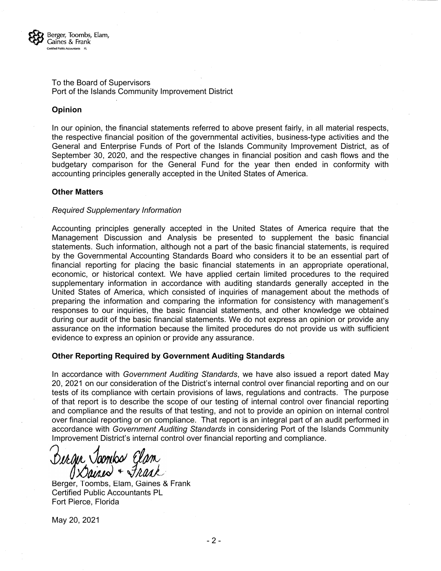

To the Board of Supervisors Port of the Islands Community Improvement District

#### **Opinion**

 In our opinion, the financial statements referred to above present fairly, in all material respects, September 30, 2020, and the respective changes in financial position and cash flows and the budgetary comparison for the General Fund for the year then ended in conformity with the respective financial position of the governmental activities, business-type activities and the General and Enterprise Funds of Port of the Islands Community Improvement District, as of accounting principles generally accepted in the United States of America.

#### **Other Matters**

#### *Required Supplementary Information*

 statements. Such information, although not a part of the basic financial statements, is required by the Governmental Accounting Standards Board who considers it to be an essential part of economic, or historical context. We have applied certain limited procedures to the required United States of America, which consisted of inquiries of management about the methods of preparing the information and comparing the information for consistency with management's assurance on the information because the limited procedures do not provide us with sufficient Accounting principles generally accepted in the United States of America require that the Management Discussion and Analysis be presented to supplement the basic financial financial reporting for placing the basic financial statements in an appropriate operational, supplementary information in accordance with auditing standards generally accepted in the responses to our inquiries, the basic financial statements, and other knowledge we obtained during our audit of the basic financial statements. We do not express an opinion or provide any evidence to express an opinion or provide any assurance.

#### **Other Reporting Required by Government Auditing Standards**

 20, 2021 on our consideration of the District's internal control over financial reporting and on our tests of its compliance with certain provisions of laws, regulations and contracts. The purpose of that report is to describe the scope of our testing of internal control over financial reporting and compliance and the results of that testing, and not to provide an opinion on internal control In accordance with *Government Auditing Standards*, we have also issued a report dated May over financial reporting or on compliance. That report is an integral part of an audit performed in accordance with *Government Auditing Standards* in considering Port of the Islands Community Improvement District's internal control over financial reporting and compliance.

Derair Joonloo Elam  $\chi$  aines + Frank

Berger, Toombs, Elam, Gaines & Frank Certified Public Accountants PL Fort Pierce, Florida

May 20, 2021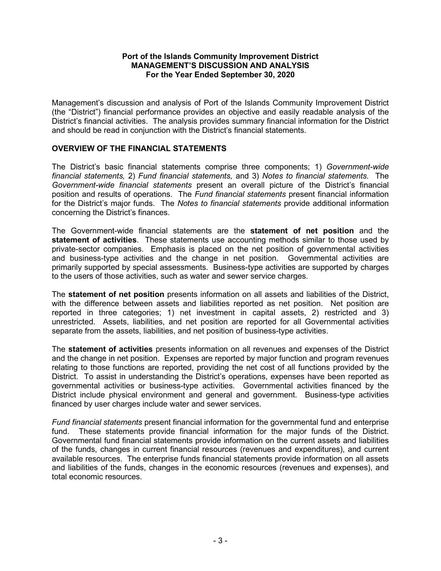Management's discussion and analysis of Port of the Islands Community Improvement District (the "District") financial performance provides an objective and easily readable analysis of the District's financial activities. The analysis provides summary financial information for the District and should be read in conjunction with the District's financial statements.

#### **OVERVIEW OF THE FINANCIAL STATEMENTS**

 *financial statements,* 2) *Fund financial statements,* and 3) *Notes to financial statements.* The *Government-wide financial statements* present an overall picture of the District's financial position and results of operations. The *Fund financial statements* present financial information for the District's major funds. The *Notes to financial statements* provide additional information The District's basic financial statements comprise three components; 1) *Government-wide*  concerning the District's finances.

 **statement of activities**. These statements use accounting methods similar to those used by primarily supported by special assessments. Business-type activities are supported by charges The Government-wide financial statements are the **statement of net position** and the private-sector companies. Emphasis is placed on the net position of governmental activities and business-type activities and the change in net position. Governmental activities are to the users of those activities, such as water and sewer service charges.

 with the difference between assets and liabilities reported as net position. Net position are reported in three categories; 1) net investment in capital assets, 2) restricted and 3) The **statement of net position** presents information on all assets and liabilities of the District, unrestricted. Assets, liabilities, and net position are reported for all Governmental activities separate from the assets, liabilities, and net position of business-type activities.

 relating to those functions are reported, providing the net cost of all functions provided by the governmental activities or business-type activities. Governmental activities financed by the The **statement of activities** presents information on all revenues and expenses of the District and the change in net position. Expenses are reported by major function and program revenues District. To assist in understanding the District's operations, expenses have been reported as District include physical environment and general and government. Business-type activities financed by user charges include water and sewer services.

 *Fund financial statements* present financial information for the governmental fund and enterprise fund. These statements provide financial information for the major funds of the District. of the funds, changes in current financial resources (revenues and expenditures), and current available resources. The enterprise funds financial statements provide information on all assets and liabilities of the funds, changes in the economic resources (revenues and expenses), and Governmental fund financial statements provide information on the current assets and liabilities total economic resources.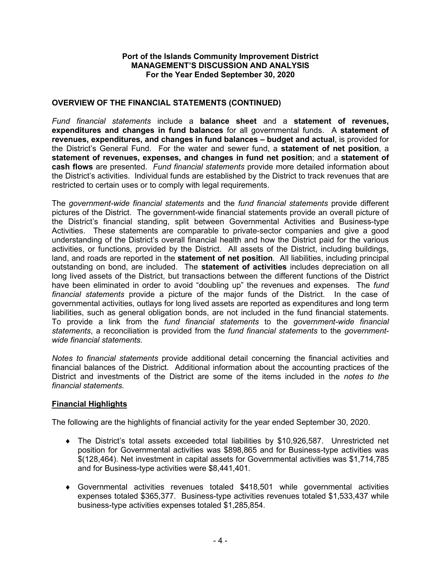# **For the Year Ended September 30, 2020 OVERVIEW OF THE FINANCIAL STATEMENTS (CONTINUED)**

 **expenditures and changes in fund balances** for all governmental funds. A **statement of statement of revenues, expenses, and changes in fund net position**; and a **statement of cash flows** are presented. *Fund financial statements* provide more detailed information about the District's activities. Individual funds are established by the District to track revenues that are *Fund financial statements* include a **balance sheet** and a **statement of revenues, revenues, expenditures, and changes in fund balances – budget and actual**, is provided for the District's General Fund. For the water and sewer fund, a **statement of net position**, a restricted to certain uses or to comply with legal requirements.

 pictures of the District. The government-wide financial statements provide an overall picture of understanding of the District's overall financial health and how the District paid for the various long lived assets of the District, but transactions between the different functions of the District governmental activities, outlays for long lived assets are reported as expenditures and long term To provide a link from the *fund financial statements* to the *government-wide financial statements*, a reconciliation is provided from the *fund financial statements* to the *government-*The *government-wide financial statements* and the *fund financial statements* provide different the District's financial standing, split between Governmental Activities and Business-type Activities. These statements are comparable to private-sector companies and give a good activities, or functions, provided by the District. All assets of the District, including buildings, land, and roads are reported in the **statement of net position**. All liabilities, including principal outstanding on bond, are included. The **statement of activities** includes depreciation on all have been eliminated in order to avoid "doubling up" the revenues and expenses. The *fund financial statements* provide a picture of the major funds of the District. In the case of liabilities, such as general obligation bonds, are not included in the fund financial statements. *wide financial statements.* 

 *Notes to financial statements* provide additional detail concerning the financial activities and financial balances of the District. Additional information about the accounting practices of the District and investments of the District are some of the items included in the *notes to the financial statements.* 

#### **Financial Highlights**

The following are the highlights of financial activity for the year ended September 30, 2020.

- ♦ The District's total assets exceeded total liabilities by \$10,926,587. Unrestricted net position for Governmental activities was \$898,865 and for Business-type activities was \$(128,464). Net investment in capital assets for Governmental activities was \$1,714,785 and for Business-type activities were \$8,441,401.
- business-type activities expenses totaled \$1,285,854. ♦ Governmental activities revenues totaled \$418,501 while governmental activities expenses totaled \$365,377. Business-type activities revenues totaled \$1,533,437 while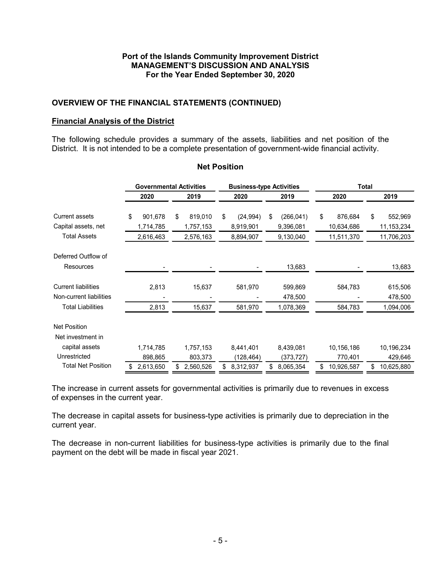# **For the Year Ended September 30, 2020 OVERVIEW OF THE FINANCIAL STATEMENTS (CONTINUED)**

#### **Financial Analysis of the District**

The following schedule provides a summary of the assets, liabilities and net position of the District. It is not intended to be a complete presentation of government-wide financial activity.

|                            |                | <b>Governmental Activities</b> |                 | <b>Business-type Activities</b> |                  | Total            |
|----------------------------|----------------|--------------------------------|-----------------|---------------------------------|------------------|------------------|
|                            | 2020           | 2019                           | 2020            | 2019                            | 2020             | 2019             |
| <b>Current assets</b>      | \$<br>901,678  | \$<br>819,010                  | \$<br>(24, 994) | (266, 041)<br>\$                | \$<br>876,684    | \$<br>552,969    |
| Capital assets, net        | 1,714,785      | 1,757,153                      | 8,919,901       | 9,396,081                       | 10,634,686       | 11,153,234       |
| <b>Total Assets</b>        | 2,616,463      | 2,576,163                      | 8,894,907       | 9,130,040                       | 11,511,370       | 11,706,203       |
| Deferred Outflow of        |                |                                |                 |                                 |                  |                  |
| <b>Resources</b>           |                |                                |                 | 13,683                          |                  | 13,683           |
| <b>Current liabilities</b> | 2,813          | 15,637                         | 581,970         | 599,869                         | 584,783          | 615,506          |
| Non-current liabilities    |                |                                |                 | 478,500                         |                  | 478,500          |
| <b>Total Liabilities</b>   | 2,813          | 15,637                         | 581,970         | 1,078,369                       | 584,783          | 1,094,006        |
| <b>Net Position</b>        |                |                                |                 |                                 |                  |                  |
| Net investment in          |                |                                |                 |                                 |                  |                  |
| capital assets             | 1,714,785      | 1,757,153                      | 8,441,401       | 8,439,081                       | 10,156,186       | 10,196,234       |
| Unrestricted               | 898,865        | 803,373                        | (128,464)       | (373, 727)                      | 770,401          | 429,646          |
| <b>Total Net Position</b>  | 2,613,650<br>S | 2,560,526<br>£.                | 8,312,937<br>\$ | 8,065,354<br>\$                 | 10,926,587<br>\$ | \$<br>10,625,880 |

#### **Net Position**

 The increase in current assets for governmental activities is primarily due to revenues in excess of expenses in the current year.

 The decrease in capital assets for business-type activities is primarily due to depreciation in the current year.

 payment on the debt will be made in fiscal year 2021. The decrease in non-current liabilities for business-type activities is primarily due to the final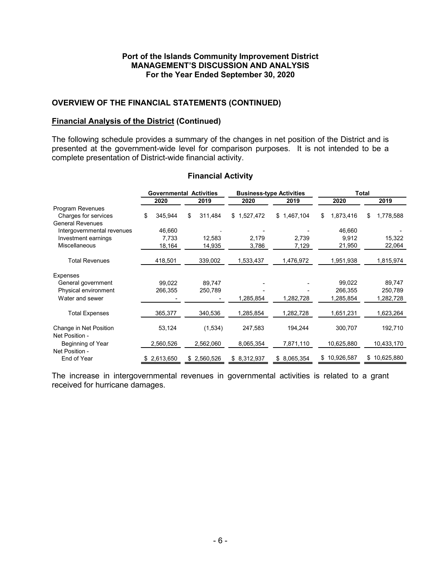# **For the Year Ended September 30, 2020 OVERVIEW OF THE FINANCIAL STATEMENTS (CONTINUED)**

#### **Financial Analysis of the District (Continued)**

 presented at the government-wide level for comparison purposes. It is not intended to be a The following schedule provides a summary of the changes in net position of the District and is complete presentation of District-wide financial activity.

|                            |               | <b>Governmental Activities</b> |             |                 | <b>Business-type Activities</b> |              |    | Total        |    |              |  |
|----------------------------|---------------|--------------------------------|-------------|-----------------|---------------------------------|--------------|----|--------------|----|--------------|--|
|                            | 2020          |                                | 2019        | 2020            |                                 | 2019         |    | 2020         |    | 2019         |  |
| <b>Program Revenues</b>    |               |                                |             |                 |                                 |              |    |              |    |              |  |
| Charges for services       | \$<br>345,944 | \$                             | 311,484     | 1,527,472<br>\$ |                                 | \$1,467,104  | \$ | 1,873,416    | \$ | 1,778,588    |  |
| <b>General Revenues</b>    |               |                                |             |                 |                                 |              |    |              |    |              |  |
| Intergovernmental revenues | 46,660        |                                |             |                 |                                 |              |    | 46,660       |    |              |  |
| Investment earnings        | 7,733         |                                | 12,583      | 2,179           |                                 | 2,739        |    | 9,912        |    | 15,322       |  |
| <b>Miscellaneous</b>       | 18,164        |                                | 14,935      | 3,786           |                                 | 7,129        |    | 21,950       |    | 22,064       |  |
| <b>Total Revenues</b>      | 418,501       |                                | 339,002     | 1,533,437       |                                 | 1,476,972    |    | 1,951,938    |    | 1,815,974    |  |
|                            |               |                                |             |                 |                                 |              |    |              |    |              |  |
| Expenses                   |               |                                |             |                 |                                 |              |    |              |    |              |  |
| General government         | 99,022        |                                | 89,747      |                 |                                 |              |    | 99,022       |    | 89,747       |  |
| Physical environment       | 266,355       |                                | 250,789     |                 |                                 |              |    | 266,355      |    | 250,789      |  |
| Water and sewer            |               |                                |             | 1,285,854       |                                 | 1,282,728    |    | 1,285,854    |    | 1,282,728    |  |
| <b>Total Expenses</b>      | 365,377       |                                | 340,536     | 1,285,854       |                                 | 1,282,728    |    | 1,651,231    |    | 1,623,264    |  |
| Change in Net Position     | 53,124        |                                | (1,534)     | 247,583         |                                 | 194,244      |    | 300,707      |    | 192,710      |  |
| Net Position -             |               |                                |             |                 |                                 |              |    |              |    |              |  |
| Beginning of Year          | 2,560,526     |                                | 2,562,060   | 8,065,354       |                                 | 7,871,110    |    | 10,625,880   |    | 10,433,170   |  |
| Net Position -             |               |                                |             |                 |                                 |              |    |              |    |              |  |
| End of Year                | \$2,613,650   |                                | \$2,560,526 | \$8,312,937     |                                 | \$ 8,065,354 |    | \$10,926,587 |    | \$10,625,880 |  |

#### **Financial Activity**

 The increase in intergovernmental revenues in governmental activities is related to a grant received for hurricane damages.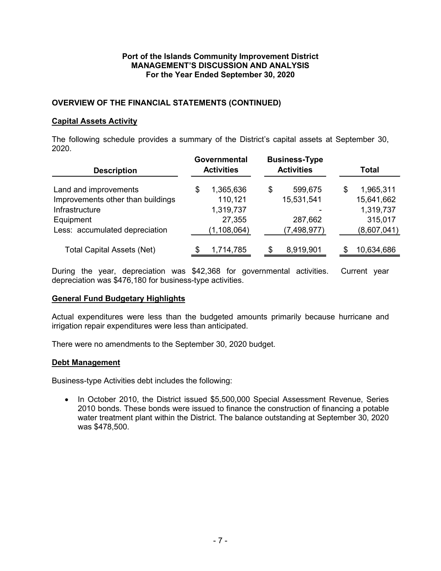#### **OVERVIEW OF THE FINANCIAL STATEMENTS (CONTINUED)**

#### **Capital Assets Activity**

 The following schedule provides a summary of the District's capital assets at September 30, 2020.

| <b>Description</b>                | <b>Governmental</b><br><b>Activities</b> | <b>Business-Type</b><br><b>Activities</b> |               | Total           |
|-----------------------------------|------------------------------------------|-------------------------------------------|---------------|-----------------|
| Land and improvements             | \$<br>1,365,636                          | \$                                        | 599,675       | \$<br>1,965,311 |
| Improvements other than buildings | 110,121                                  |                                           | 15,531,541    | 15,641,662      |
| Infrastructure                    | 1,319,737                                |                                           |               | 1,319,737       |
| Equipment                         | 27,355                                   |                                           | 287,662       | 315,017         |
| Less: accumulated depreciation    | (1, 108, 064)                            |                                           | (7, 498, 977) | (8,607,041)     |
| <b>Total Capital Assets (Net)</b> | 1,714,785                                | S                                         | 8,919,901     | 10,634,686      |

 During the year, depreciation was \$42,368 for governmental activities. Current year depreciation was \$476,180 for business-type activities.

#### **General Fund Budgetary Highlights**

 Actual expenditures were less than the budgeted amounts primarily because hurricane and irrigation repair expenditures were less than anticipated.

There were no amendments to the September 30, 2020 budget.

#### **Debt Management**

Business-type Activities debt includes the following:

 2010 bonds. These bonds were issued to finance the construction of financing a potable water treatment plant within the District. The balance outstanding at September 30, 2020 • In October 2010, the District issued \$5,500,000 Special Assessment Revenue, Series was \$478,500.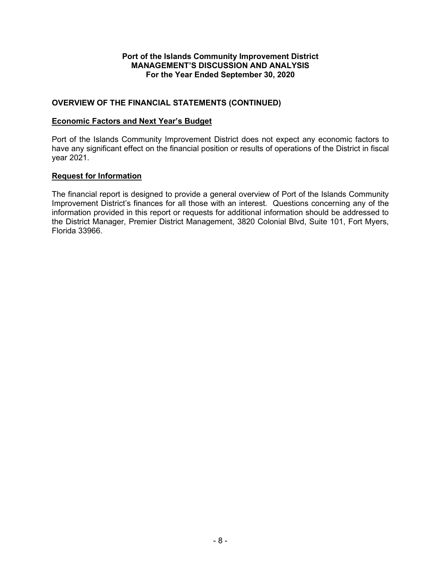#### **OVERVIEW OF THE FINANCIAL STATEMENTS (CONTINUED)**

#### **Economic Factors and Next Year's Budget**

 Port of the Islands Community Improvement District does not expect any economic factors to have any significant effect on the financial position or results of operations of the District in fiscal year 2021.

#### **Request for Information**

 The financial report is designed to provide a general overview of Port of the Islands Community Improvement District's finances for all those with an interest. Questions concerning any of the the District Manager, Premier District Management, 3820 Colonial Blvd, Suite 101, Fort Myers, information provided in this report or requests for additional information should be addressed to Florida 33966.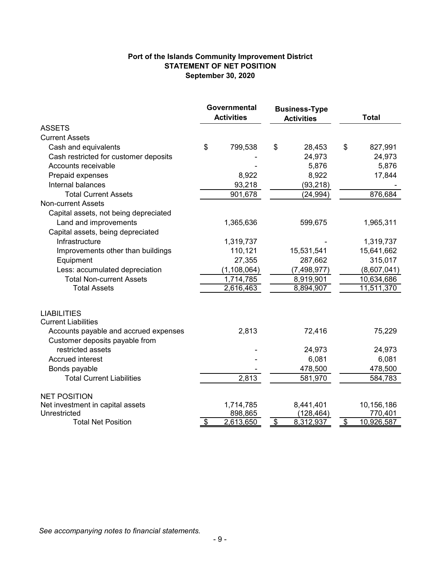#### **Port of the Islands Community Improvement District STATEMENT OF NET POSITION September 30, 2020**

|                                                  |               | Governmental<br><b>Activities</b> |               | <b>Business-Type</b><br><b>Activities</b> | <b>Total</b>  |             |  |
|--------------------------------------------------|---------------|-----------------------------------|---------------|-------------------------------------------|---------------|-------------|--|
| <b>ASSETS</b>                                    |               |                                   |               |                                           |               |             |  |
| <b>Current Assets</b>                            |               |                                   |               |                                           |               |             |  |
| Cash and equivalents                             | \$            | 799,538                           | \$            | 28,453                                    | \$            | 827,991     |  |
| Cash restricted for customer deposits            |               |                                   |               | 24,973                                    |               | 24,973      |  |
| Accounts receivable                              |               |                                   |               | 5,876                                     |               | 5,876       |  |
| Prepaid expenses                                 |               | 8,922                             |               | 8,922                                     |               | 17,844      |  |
| Internal balances                                |               | 93,218                            |               | (93, 218)                                 |               |             |  |
| <b>Total Current Assets</b>                      |               | 901,678                           |               | (24, 994)                                 |               | 876,684     |  |
| <b>Non-current Assets</b>                        |               |                                   |               |                                           |               |             |  |
| Capital assets, not being depreciated            |               |                                   |               |                                           |               |             |  |
| Land and improvements                            |               | 1,365,636                         |               | 599,675                                   |               | 1,965,311   |  |
| Capital assets, being depreciated                |               |                                   |               |                                           |               |             |  |
| Infrastructure                                   |               | 1,319,737                         |               |                                           |               | 1,319,737   |  |
| Improvements other than buildings                |               | 110,121                           |               | 15,531,541                                |               | 15,641,662  |  |
| Equipment                                        |               | 27,355                            |               | 287,662                                   |               | 315,017     |  |
| Less: accumulated depreciation                   |               | (1, 108, 064)                     |               | (7, 498, 977)                             |               | (8,607,041) |  |
| <b>Total Non-current Assets</b>                  |               | 1,714,785                         |               | 8,919,901                                 |               | 10,634,686  |  |
| <b>Total Assets</b>                              |               | 2,616,463                         |               | 8,894,907                                 |               | 11,511,370  |  |
| <b>LIABILITIES</b><br><b>Current Liabilities</b> |               |                                   |               |                                           |               |             |  |
| Accounts payable and accrued expenses            |               | 2,813                             |               | 72,416                                    |               | 75,229      |  |
| Customer deposits payable from                   |               |                                   |               |                                           |               |             |  |
| restricted assets                                |               |                                   |               | 24,973                                    |               | 24,973      |  |
| Accrued interest                                 |               |                                   |               | 6,081                                     |               | 6,081       |  |
| Bonds payable                                    |               |                                   |               | 478,500                                   |               | 478,500     |  |
| <b>Total Current Liabilities</b>                 |               | 2,813                             |               | 581,970                                   |               | 584,783     |  |
| <b>NET POSITION</b>                              |               |                                   |               |                                           |               |             |  |
| Net investment in capital assets                 |               | 1,714,785                         |               | 8,441,401                                 |               | 10,156,186  |  |
| Unrestricted                                     |               | 898,865                           |               | (128, 464)                                |               | 770,401     |  |
| <b>Total Net Position</b>                        | $\frac{3}{2}$ | 2,613,650                         | $\frac{1}{2}$ | 8,312,937                                 | $\frac{1}{2}$ | 10,926,587  |  |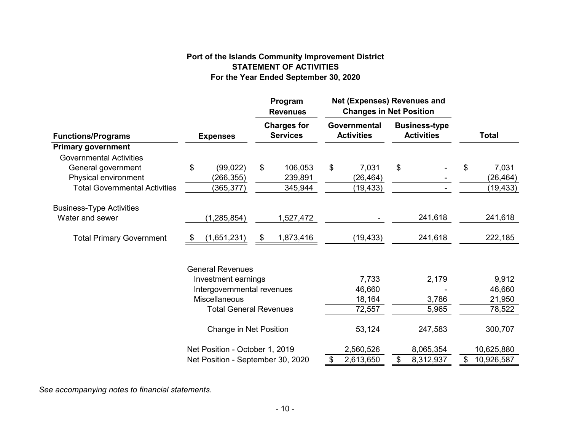#### **Port of the Islands Community Improvement District STATEMENT OF ACTIVITIES For the Year Ended September 30, 2020**

|                                      |    |                                   | Program<br><b>Revenues</b> |                                       |    | <b>Net (Expenses) Revenues and</b><br><b>Changes in Net Position</b> |    |                                           |    |              |  |
|--------------------------------------|----|-----------------------------------|----------------------------|---------------------------------------|----|----------------------------------------------------------------------|----|-------------------------------------------|----|--------------|--|
| <b>Functions/Programs</b>            |    | <b>Expenses</b>                   |                            | <b>Charges for</b><br><b>Services</b> |    | Governmental<br><b>Activities</b>                                    |    | <b>Business-type</b><br><b>Activities</b> |    | <b>Total</b> |  |
| <b>Primary government</b>            |    |                                   |                            |                                       |    |                                                                      |    |                                           |    |              |  |
| <b>Governmental Activities</b>       |    |                                   |                            |                                       |    |                                                                      |    |                                           |    |              |  |
| General government                   | \$ | (99, 022)                         | \$                         | 106,053                               | \$ | 7,031                                                                | \$ |                                           | \$ | 7,031        |  |
| Physical environment                 |    | (266, 355)                        |                            | 239,891                               |    | (26, 464)                                                            |    |                                           |    | (26, 464)    |  |
| <b>Total Governmental Activities</b> |    | (365,377)                         |                            | 345,944                               |    | (19, 433)                                                            |    |                                           |    | (19, 433)    |  |
| <b>Business-Type Activities</b>      |    |                                   |                            |                                       |    |                                                                      |    |                                           |    |              |  |
| Water and sewer                      |    | (1, 285, 854)                     |                            | 1,527,472                             |    |                                                                      |    | 241,618                                   |    | 241,618      |  |
| <b>Total Primary Government</b>      | -S | (1,651,231)                       | \$                         | 1,873,416                             |    | (19, 433)                                                            |    | 241,618                                   |    | 222,185      |  |
|                                      |    | <b>General Revenues</b>           |                            |                                       |    |                                                                      |    |                                           |    |              |  |
|                                      |    | Investment earnings               |                            |                                       |    | 7,733                                                                |    | 2,179                                     |    | 9,912        |  |
|                                      |    | Intergovernmental revenues        |                            |                                       |    | 46,660                                                               |    |                                           |    | 46,660       |  |
|                                      |    | Miscellaneous                     |                            |                                       |    | 18,164                                                               |    | 3,786                                     |    | 21,950       |  |
|                                      |    | <b>Total General Revenues</b>     |                            |                                       |    | 72,557                                                               |    | 5,965                                     |    | 78,522       |  |
|                                      |    | Change in Net Position            |                            |                                       |    | 53,124                                                               |    | 247,583                                   |    | 300,707      |  |
|                                      |    | Net Position - October 1, 2019    |                            |                                       |    | 2,560,526                                                            |    | 8,065,354                                 |    | 10,625,880   |  |
|                                      |    | Net Position - September 30, 2020 |                            |                                       | \$ | 2,613,650                                                            | \$ | 8,312,937                                 | \$ | 10,926,587   |  |

*See accompanying notes to financial statements.*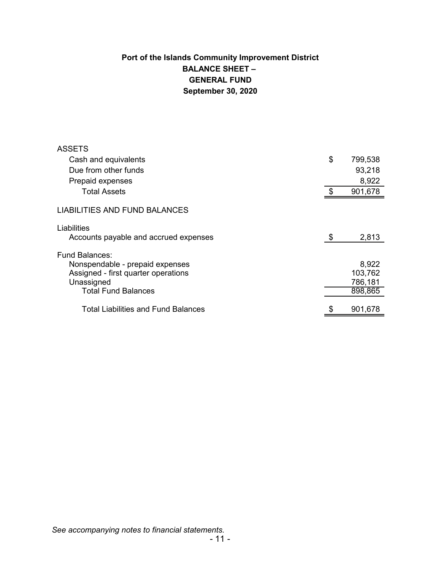#### **Port of the Islands Community Improvement District BALANCE SHEET – GENERAL FUND September 30, 2020**

| <b>ASSETS</b>                         |               |
|---------------------------------------|---------------|
| Cash and equivalents                  | \$<br>799,538 |
| Due from other funds                  | 93,218        |
| Prepaid expenses                      | 8,922         |
| <b>Total Assets</b>                   | 901,678       |
| <b>LIABILITIES AND FUND BALANCES</b>  |               |
| Liabilities                           |               |
| Accounts payable and accrued expenses | \$<br>2,813   |
| <b>Fund Balances:</b>                 |               |
| Nonspendable - prepaid expenses       | 8,922         |
| Assigned - first quarter operations   | 103,762       |
| Unassigned                            | 786,181       |
| <b>Total Fund Balances</b>            | 898,865       |
| Total Liabilities and Fund Balances   | 901,678       |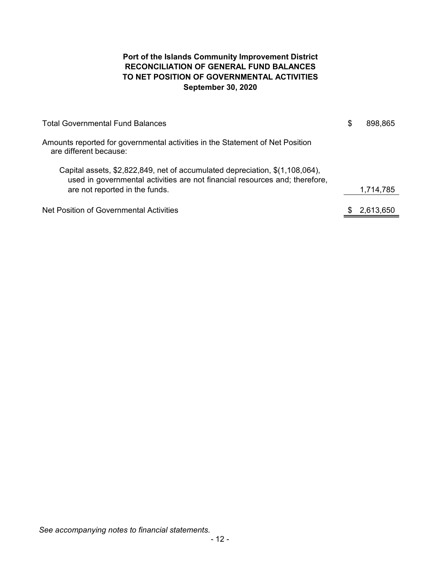#### **Port of the Islands Community Improvement District RECONCILIATION OF GENERAL FUND BALANCES TO NET POSITION OF GOVERNMENTAL ACTIVITIES September 30, 2020**

| <b>Total Governmental Fund Balances</b>                                                                                                                                                       | \$<br>898,865 |
|-----------------------------------------------------------------------------------------------------------------------------------------------------------------------------------------------|---------------|
| Amounts reported for governmental activities in the Statement of Net Position<br>are different because:                                                                                       |               |
| Capital assets, \$2,822,849, net of accumulated depreciation, \$(1,108,064),<br>used in governmental activities are not financial resources and; therefore,<br>are not reported in the funds. | 1,714,785     |
| Net Position of Governmental Activities                                                                                                                                                       | 2,613,650     |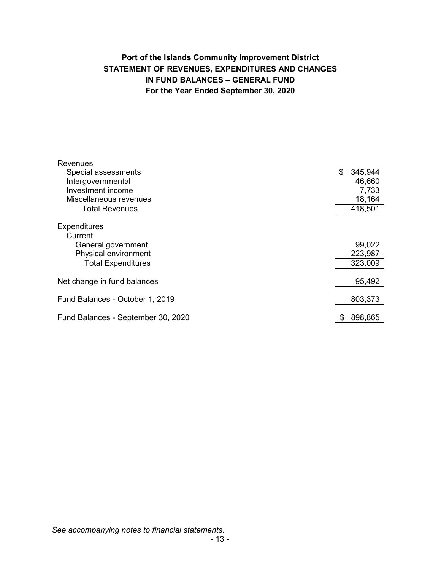#### **Port of the Islands Community Improvement District STATEMENT OF REVENUES, EXPENDITURES AND CHANGES IN FUND BALANCES – GENERAL FUND For the Year Ended September 30, 2020**

| Revenues                           |    |         |
|------------------------------------|----|---------|
| Special assessments                | \$ | 345,944 |
| Intergovernmental                  |    | 46,660  |
| Investment income                  |    | 7,733   |
| Miscellaneous revenues             |    | 18,164  |
| <b>Total Revenues</b>              |    | 418,501 |
| <b>Expenditures</b>                |    |         |
| Current                            |    |         |
| General government                 |    | 99,022  |
| Physical environment               |    | 223,987 |
| <b>Total Expenditures</b>          |    | 323,009 |
| Net change in fund balances        |    | 95,492  |
| Fund Balances - October 1, 2019    |    | 803,373 |
|                                    |    |         |
| Fund Balances - September 30, 2020 | S  | 898,865 |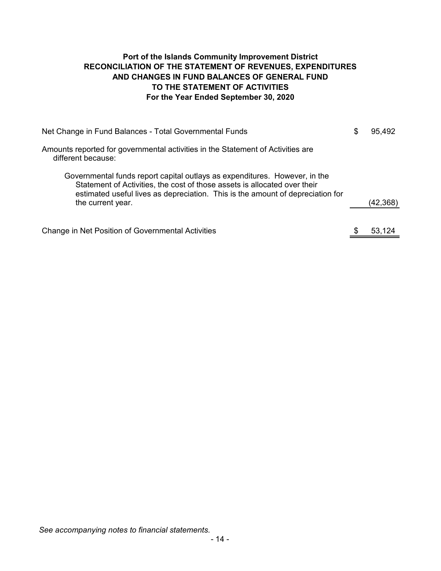#### **Port of the Islands Community Improvement District RECONCILIATION OF THE STATEMENT OF REVENUES, EXPENDITURES AND CHANGES IN FUND BALANCES OF GENERAL FUND TO THE STATEMENT OF ACTIVITIES For the Year Ended September 30, 2020**

| Net Change in Fund Balances - Total Governmental Funds                                                                                                                                                                                                         | \$<br>95,492 |
|----------------------------------------------------------------------------------------------------------------------------------------------------------------------------------------------------------------------------------------------------------------|--------------|
| Amounts reported for governmental activities in the Statement of Activities are<br>different because:                                                                                                                                                          |              |
| Governmental funds report capital outlays as expenditures. However, in the<br>Statement of Activities, the cost of those assets is allocated over their<br>estimated useful lives as depreciation. This is the amount of depreciation for<br>the current year. | (42,368)     |
| <b>Change in Net Position of Governmental Activities</b>                                                                                                                                                                                                       | 53,124       |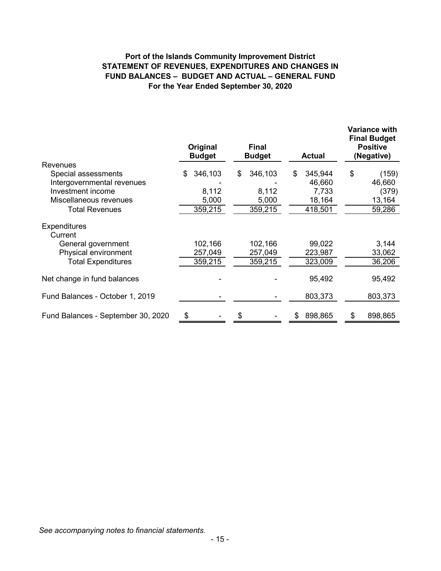#### **Port of the Islands Community Improvement District STATEMENT OF REVENUES, EXPENDITURES AND CHANGES IN FUND BALANCES – BUDGET AND ACTUAL – GENERAL FUND For the Year Ended September 30, 2020**

|                                    | Original<br><b>Budget</b> | <b>Final</b><br><b>Budget</b> | <b>Actual</b> | Variance with<br><b>Final Budget</b><br><b>Positive</b><br>(Negative) |
|------------------------------------|---------------------------|-------------------------------|---------------|-----------------------------------------------------------------------|
| Revenues                           |                           |                               |               |                                                                       |
| Special assessments                | 346,103<br>\$             | 346,103<br>\$                 | \$<br>345,944 | \$<br>(159)                                                           |
| Intergovernmental revenues         |                           |                               | 46,660        | 46,660                                                                |
| Investment income                  | 8,112                     | 8,112                         | 7,733         | (379)                                                                 |
| Miscellaneous revenues             | 5,000                     | 5,000                         | 18,164        | 13,164                                                                |
| <b>Total Revenues</b>              | 359,215                   | 359,215                       | 418,501       | 59,286                                                                |
| <b>Expenditures</b><br>Current     |                           |                               |               |                                                                       |
| General government                 | 102,166                   | 102,166                       | 99,022        | 3,144                                                                 |
| Physical environment               | 257,049                   | 257,049                       | 223,987       | 33,062                                                                |
| <b>Total Expenditures</b>          | 359,215                   | 359,215                       | 323,009       | 36,206                                                                |
| Net change in fund balances        |                           |                               | 95,492        | 95,492                                                                |
| Fund Balances - October 1, 2019    |                           |                               | 803,373       | 803,373                                                               |
| Fund Balances - September 30, 2020 | \$                        |                               | 898,865<br>\$ | 898,865<br>\$                                                         |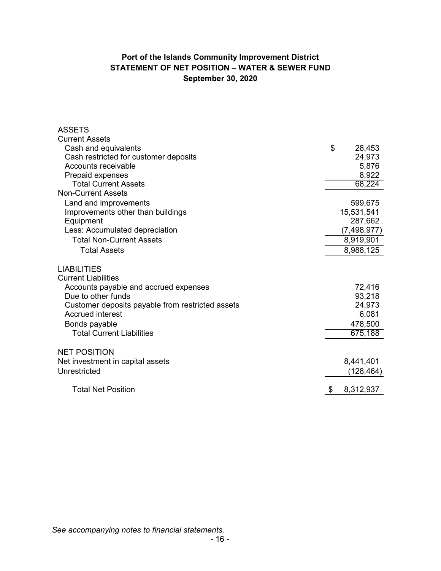#### **Port of the Islands Community Improvement District STATEMENT OF NET POSITION – WATER & SEWER FUND September 30, 2020**

| <b>ASSETS</b>                                    |                 |
|--------------------------------------------------|-----------------|
| <b>Current Assets</b>                            |                 |
| Cash and equivalents                             | \$<br>28,453    |
| Cash restricted for customer deposits            | 24,973          |
| Accounts receivable                              | 5,876           |
| Prepaid expenses                                 | 8,922           |
| <b>Total Current Assets</b>                      | 68,224          |
| <b>Non-Current Assets</b>                        |                 |
| Land and improvements                            | 599,675         |
| Improvements other than buildings                | 15,531,541      |
| Equipment                                        | 287,662         |
| Less: Accumulated depreciation                   | (7, 498, 977)   |
| <b>Total Non-Current Assets</b>                  | 8,919,901       |
| <b>Total Assets</b>                              | 8,988,125       |
| <b>LIABILITIES</b>                               |                 |
| <b>Current Liabilities</b>                       |                 |
| Accounts payable and accrued expenses            | 72,416          |
| Due to other funds                               | 93,218          |
| Customer deposits payable from restricted assets | 24,973          |
| <b>Accrued interest</b>                          | 6,081           |
| Bonds payable                                    | 478,500         |
| <b>Total Current Liabilities</b>                 | 675,188         |
|                                                  |                 |
| <b>NET POSITION</b>                              |                 |
| Net investment in capital assets                 | 8,441,401       |
| Unrestricted                                     | (128, 464)      |
| <b>Total Net Position</b>                        | \$<br>8,312,937 |
|                                                  |                 |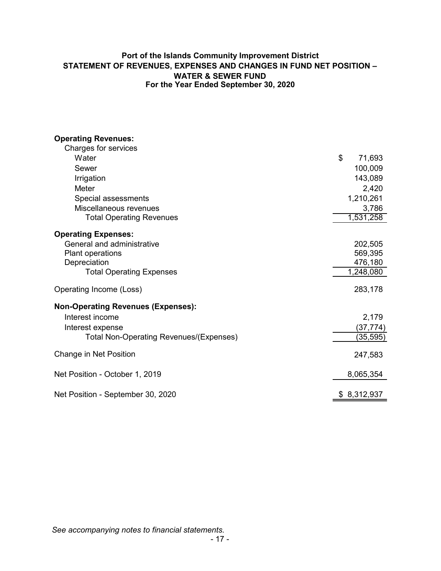#### **Port of the Islands Community Improvement District STATEMENT OF REVENUES, EXPENSES AND CHANGES IN FUND NET POSITION – WATER & SEWER FUND For the Year Ended September 30, 2020**

| <b>Operating Revenues:</b>                     |              |
|------------------------------------------------|--------------|
| Charges for services                           |              |
| Water                                          | \$<br>71,693 |
| Sewer                                          | 100,009      |
| Irrigation                                     | 143,089      |
| Meter                                          | 2,420        |
| Special assessments                            | 1,210,261    |
| Miscellaneous revenues                         | 3,786        |
| <b>Total Operating Revenues</b>                | 1,531,258    |
| <b>Operating Expenses:</b>                     |              |
| General and administrative                     | 202,505      |
| Plant operations                               | 569,395      |
| Depreciation                                   | 476,180      |
| <b>Total Operating Expenses</b>                | 1,248,080    |
| Operating Income (Loss)                        | 283,178      |
| <b>Non-Operating Revenues (Expenses):</b>      |              |
| Interest income                                | 2,179        |
| Interest expense                               | (37, 774)    |
| <b>Total Non-Operating Revenues/(Expenses)</b> | (35, 595)    |
| Change in Net Position                         | 247,583      |
| Net Position - October 1, 2019                 | 8,065,354    |
| Net Position - September 30, 2020              | \$8,312,937  |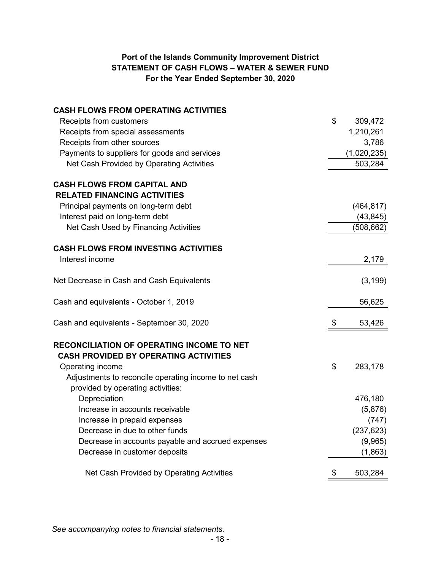#### **Port of the Islands Community Improvement District STATEMENT OF CASH FLOWS – WATER & SEWER FUND For the Year Ended September 30, 2020**

| <b>CASH FLOWS FROM OPERATING ACTIVITIES</b>                                                |               |
|--------------------------------------------------------------------------------------------|---------------|
| Receipts from customers                                                                    | \$<br>309,472 |
| Receipts from special assessments                                                          | 1,210,261     |
| Receipts from other sources                                                                | 3,786         |
| Payments to suppliers for goods and services                                               | (1,020,235)   |
| Net Cash Provided by Operating Activities                                                  | 503,284       |
| <b>CASH FLOWS FROM CAPITAL AND</b>                                                         |               |
| <b>RELATED FINANCING ACTIVITIES</b>                                                        |               |
| Principal payments on long-term debt                                                       | (464, 817)    |
| Interest paid on long-term debt                                                            | (43, 845)     |
| Net Cash Used by Financing Activities                                                      | (508, 662)    |
| <b>CASH FLOWS FROM INVESTING ACTIVITIES</b>                                                |               |
| Interest income                                                                            | 2,179         |
| Net Decrease in Cash and Cash Equivalents                                                  | (3, 199)      |
| Cash and equivalents - October 1, 2019                                                     | 56,625        |
| Cash and equivalents - September 30, 2020                                                  | \$<br>53,426  |
| <b>RECONCILIATION OF OPERATING INCOME TO NET</b>                                           |               |
| <b>CASH PROVIDED BY OPERATING ACTIVITIES</b>                                               |               |
| Operating income                                                                           | \$<br>283,178 |
| Adjustments to reconcile operating income to net cash<br>provided by operating activities: |               |
| Depreciation                                                                               | 476,180       |
| Increase in accounts receivable                                                            | (5,876)       |
| Increase in prepaid expenses                                                               | (747)         |
| Decrease in due to other funds                                                             | (237, 623)    |
| Decrease in accounts payable and accrued expenses                                          | (9,965)       |
| Decrease in customer deposits                                                              | (1,863)       |
| Net Cash Provided by Operating Activities                                                  | \$<br>503,284 |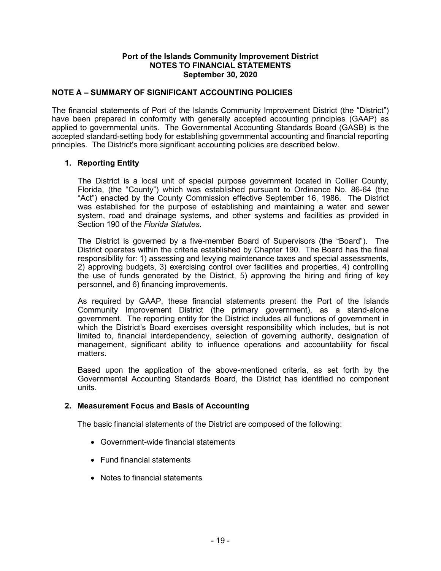#### **NOTE A – SUMMARY OF SIGNIFICANT ACCOUNTING POLICIES**

 The financial statements of Port of the Islands Community Improvement District (the "District") have been prepared in conformity with generally accepted accounting principles (GAAP) as applied to governmental units. The Governmental Accounting Standards Board (GASB) is the accepted standard-setting body for establishing governmental accounting and financial reporting principles. The District's more significant accounting policies are described below.

#### **1. Reporting Entity**

 "Act") enacted by the County Commission effective September 16, 1986. The District Section 190 of the Florida Statutes. The District is a local unit of special purpose government located in Collier County, Florida, (the "County") which was established pursuant to Ordinance No. 86-64 (the was established for the purpose of establishing and maintaining a water and sewer system, road and drainage systems, and other systems and facilities as provided in

Section 190 of the *Florida Statutes.*<br>The District is governed by a five-member Board of Supervisors (the "Board"). The District operates within the criteria established by Chapter 190. The Board has the final responsibility for: 1) assessing and levying maintenance taxes and special assessments, 2) approving budgets, 3) exercising control over facilities and properties, 4) controlling the use of funds generated by the District, 5) approving the hiring and firing of key personnel, and 6) financing improvements.

 As required by GAAP, these financial statements present the Port of the Islands management, significant ability to influence operations and accountability for fiscal Community Improvement District (the primary government), as a stand-alone government. The reporting entity for the District includes all functions of government in which the District's Board exercises oversight responsibility which includes, but is not limited to, financial interdependency, selection of governing authority, designation of matters.

Based upon the application of the above-mentioned criteria, as set forth by the Governmental Accounting Standards Board, the District has identified no component units.

#### **2. Measurement Focus and Basis of Accounting**

The basic financial statements of the District are composed of the following:

- Government-wide financial statements
- Fund financial statements
- Notes to financial statements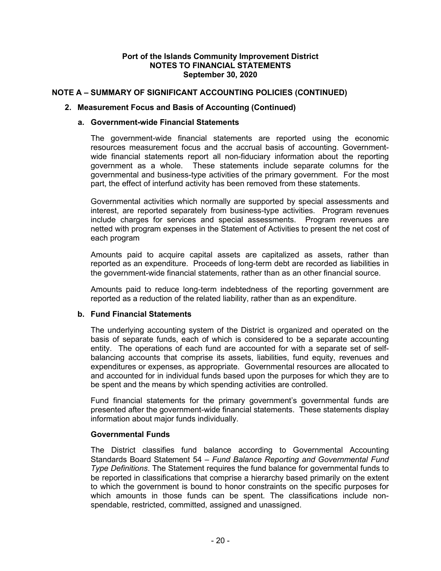#### **NOTE A – SUMMARY OF SIGNIFICANT ACCOUNTING POLICIES (CONTINUED)**

#### **2. Measurement Focus and Basis of Accounting (Continued)**

#### **a. Government-wide Financial Statements**

 The government-wide financial statements are reported using the economic resources measurement focus and the accrual basis of accounting. Government- wide financial statements report all non-fiduciary information about the reporting government as a whole. These statements include separate columns for the governmental and business-type activities of the primary government. For the most part, the effect of interfund activity has been removed from these statements.

 interest, are reported separately from business-type activities. Program revenues include charges for services and special assessments. Program revenues are Governmental activities which normally are supported by special assessments and netted with program expenses in the Statement of Activities to present the net cost of each program

 Amounts paid to acquire capital assets are capitalized as assets, rather than the government-wide financial statements, rather than as an other financial source. reported as an expenditure. Proceeds of long-term debt are recorded as liabilities in

 reported as a reduction of the related liability, rather than as an expenditure. Amounts paid to reduce long-term indebtedness of the reporting government are

#### **b. Fund Financial Statements**

 entity. The operations of each fund are accounted for with a separate set of self- expenditures or expenses, as appropriate. Governmental resources are allocated to The underlying accounting system of the District is organized and operated on the basis of separate funds, each of which is considered to be a separate accounting balancing accounts that comprise its assets, liabilities, fund equity, revenues and and accounted for in individual funds based upon the purposes for which they are to be spent and the means by which spending activities are controlled.

 Fund financial statements for the primary government's governmental funds are presented after the government-wide financial statements. These statements display information about major funds individually.

#### **Governmental Funds**

 Standards Board Statement 54 – *Fund Balance Reporting and Governmental Fund Type Definitions*. The Statement requires the fund balance for governmental funds to to which the government is bound to honor constraints on the specific purposes for which amounts in those funds can be spent. The classifications include non-The District classifies fund balance according to Governmental Accounting be reported in classifications that comprise a hierarchy based primarily on the extent spendable, restricted, committed, assigned and unassigned.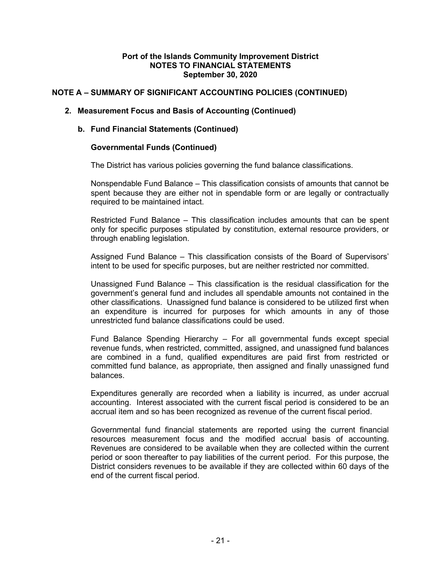#### **NOTE A – SUMMARY OF SIGNIFICANT ACCOUNTING POLICIES (CONTINUED)**

#### **2. Measurement Focus and Basis of Accounting (Continued)**

#### **b. Fund Financial Statements (Continued)**

#### **Governmental Funds (Continued)**

The District has various policies governing the fund balance classifications.

 Nonspendable Fund Balance – This classification consists of amounts that cannot be spent because they are either not in spendable form or are legally or contractually required to be maintained intact.

 only for specific purposes stipulated by constitution, external resource providers, or Restricted Fund Balance *–* This classification includes amounts that can be spent through enabling legislation.

Assigned Fund Balance – This classification consists of the Board of Supervisors' intent to be used for specific purposes, but are neither restricted nor committed.

 Unassigned Fund Balance – This classification is the residual classification for the other classifications. Unassigned fund balance is considered to be utilized first when an expenditure is incurred for purposes for which amounts in any of those government's general fund and includes all spendable amounts not contained in the unrestricted fund balance classifications could be used.

 revenue funds, when restricted, committed, assigned, and unassigned fund balances Fund Balance Spending Hierarchy – For all governmental funds except special are combined in a fund, qualified expenditures are paid first from restricted or committed fund balance, as appropriate, then assigned and finally unassigned fund balances.

 Expenditures generally are recorded when a liability is incurred, as under accrual accounting. Interest associated with the current fiscal period is considered to be an accrual item and so has been recognized as revenue of the current fiscal period.

 Governmental fund financial statements are reported using the current financial resources measurement focus and the modified accrual basis of accounting. period or soon thereafter to pay liabilities of the current period. For this purpose, the District considers revenues to be available if they are collected within 60 days of the end of the current fiscal period. Revenues are considered to be available when they are collected within the current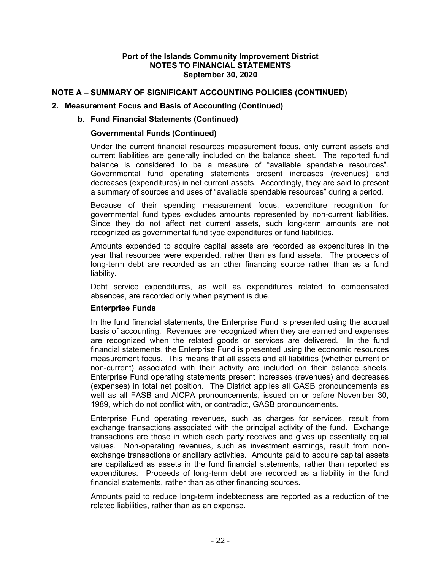#### **NOTE A – SUMMARY OF SIGNIFICANT ACCOUNTING POLICIES (CONTINUED)**

#### **2. Measurement Focus and Basis of Accounting (Continued)**

#### **b. Fund Financial Statements (Continued)**

#### **Governmental Funds (Continued)**

 Under the current financial resources measurement focus, only current assets and current liabilities are generally included on the balance sheet. The reported fund balance is considered to be a measure of "available spendable resources". Governmental fund operating statements present increases (revenues) and decreases (expenditures) in net current assets. Accordingly, they are said to present a summary of sources and uses of "available spendable resources" during a period.

 Because of their spending measurement focus, expenditure recognition for governmental fund types excludes amounts represented by non-current liabilities. Since they do not affect net current assets, such long-term amounts are not recognized as governmental fund type expenditures or fund liabilities.

 Amounts expended to acquire capital assets are recorded as expenditures in the year that resources were expended, rather than as fund assets. The proceeds of long-term debt are recorded as an other financing source rather than as a fund liability.

Debt service expenditures, as well as expenditures related to compensated absences, are recorded only when payment is due.

#### **Enterprise Funds**

 are recognized when the related goods or services are delivered. In the fund financial statements, the Enterprise Fund is presented using the economic resources non-current) associated with their activity are included on their balance sheets. non-current) associated with their activity are included on their balance sheets.<br>Enterprise Fund operating statements present increases (revenues) and decreases (expenses) in total net position. The District applies all GASB pronouncements as In the fund financial statements, the Enterprise Fund is presented using the accrual basis of accounting. Revenues are recognized when they are earned and expenses measurement focus. This means that all assets and all liabilities (whether current or well as all FASB and AICPA pronouncements, issued on or before November 30, 1989, which do not conflict with, or contradict, GASB pronouncements.

 Enterprise Fund operating revenues, such as charges for services, result from exchange transactions associated with the principal activity of the fund. Exchange transactions are those in which each party receives and gives up essentially equal values. Non-operating revenues, such as investment earnings, result from non- exchange transactions or ancillary activities. Amounts paid to acquire capital assets are capitalized as assets in the fund financial statements, rather than reported as expenditures. Proceeds of long-term debt are recorded as a liability in the fund financial statements, rather than as other financing sources.

 Amounts paid to reduce long-term indebtedness are reported as a reduction of the related liabilities, rather than as an expense.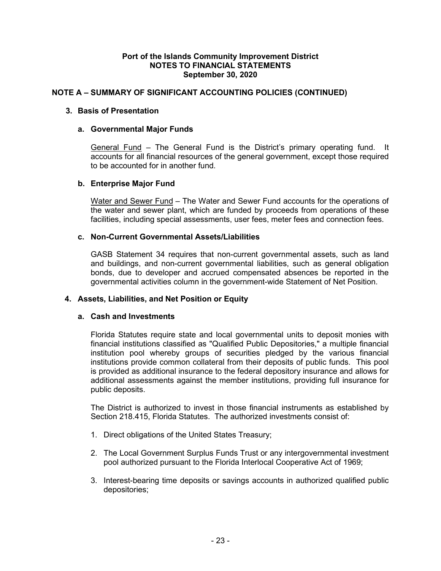#### **NOTE A – SUMMARY OF SIGNIFICANT ACCOUNTING POLICIES (CONTINUED)**

#### **3. Basis of Presentation**

#### **a. Governmental Major Funds**

 General Fund – The General Fund is the District's primary operating fund. It accounts for all financial resources of the general government, except those required to be accounted for in another fund.

#### **b. Enterprise Major Fund**

Water and Sewer Fund – The Water and Sewer Fund accounts for the operations of the water and sewer plant, which are funded by proceeds from operations of these facilities, including special assessments, user fees, meter fees and connection fees.

#### **c. Non-Current Governmental Assets/Liabilities**

 GASB Statement 34 requires that non-current governmental assets, such as land and buildings, and non-current governmental liabilities, such as general obligation bonds, due to developer and accrued compensated absences be reported in the governmental activities column in the government-wide Statement of Net Position.

#### **4. Assets, Liabilities, and Net Position or Equity**

#### **a. Cash and Investments**

 institution pool whereby groups of securities pledged by the various financial is provided as additional insurance to the federal depository insurance and allows for additional assessments against the member institutions, providing full insurance for Florida Statutes require state and local governmental units to deposit monies with financial institutions classified as "Qualified Public Depositories," a multiple financial institutions provide common collateral from their deposits of public funds. This pool public deposits.

The District is authorized to invest in those financial instruments as established by Section 218.415, Florida Statutes. The authorized investments consist of:

- 1. Direct obligations of the United States Treasury;
- 2. The Local Government Surplus Funds Trust or any intergovernmental investment pool authorized pursuant to the Florida Interlocal Cooperative Act of 1969;
- 3. Interest-bearing time deposits or savings accounts in authorized qualified public depositories;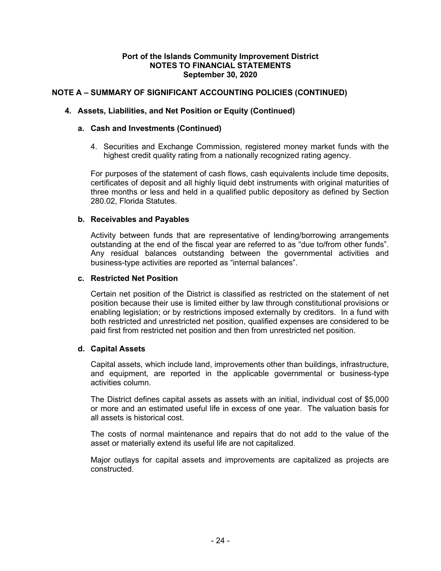#### **NOTE A – SUMMARY OF SIGNIFICANT ACCOUNTING POLICIES (CONTINUED)**

#### **4. Assets, Liabilities, and Net Position or Equity (Continued)**

#### **a. Cash and Investments (Continued)**

 4. Securities and Exchange Commission, registered money market funds with the highest credit quality rating from a nationally recognized rating agency.

For purposes of the statement of cash flows, cash equivalents include time deposits, certificates of deposit and all highly liquid debt instruments with original maturities of three months or less and held in a qualified public depository as defined by Section 280.02, Florida Statutes.

#### **b. Receivables and Payables**

outstanding at the end of the fiscal year are referred to as "due to/from other funds". Activity between funds that are representative of lending/borrowing arrangements Any residual balances outstanding between the governmental activities and business-type activities are reported as "internal balances".

#### **c. Restricted Net Position**

 Certain net position of the District is classified as restricted on the statement of net position because their use is limited either by law through constitutional provisions or enabling legislation; or by restrictions imposed externally by creditors. In a fund with both restricted and unrestricted net position, qualified expenses are considered to be paid first from restricted net position and then from unrestricted net position.

#### **d. Capital Assets**

 Capital assets, which include land, improvements other than buildings, infrastructure, activities column. and equipment, are reported in the applicable governmental or business-type

activities column.<br>The District defines capital assets as assets with an initial, individual cost of \$5,000 all assets is historical cost. or more and an estimated useful life in excess of one year. The valuation basis for

all assets is historical cost.<br>The costs of normal maintenance and repairs that do not add to the value of the asset or materially extend its useful life are not capitalized.

constructed Major outlays for capital assets and improvements are capitalized as projects are constructed.<br>- 24 -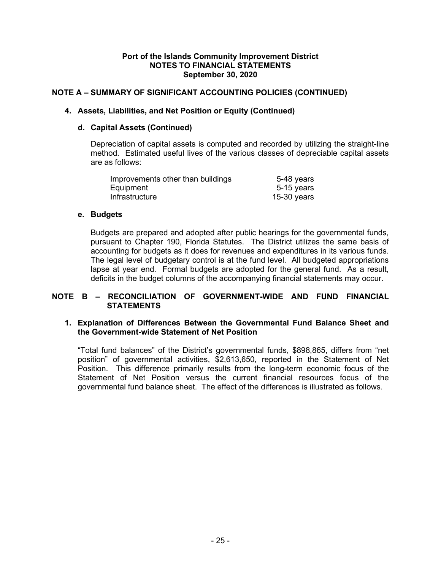#### **NOTE A – SUMMARY OF SIGNIFICANT ACCOUNTING POLICIES (CONTINUED)**

#### **4. Assets, Liabilities, and Net Position or Equity (Continued)**

#### **d. Capital Assets (Continued)**

 method. Estimated useful lives of the various classes of depreciable capital assets Depreciation of capital assets is computed and recorded by utilizing the straight-line are as follows:

| Improvements other than buildings | 5-48 years    |
|-----------------------------------|---------------|
| Equipment                         | $5-15$ years  |
| Infrastructure                    | $15-30$ years |

#### **e. Budgets**

 accounting for budgets as it does for revenues and expenditures in its various funds. The legal level of budgetary control is at the fund level. All budgeted appropriations lapse at year end. Formal budgets are adopted for the general fund. As a result, Budgets are prepared and adopted after public hearings for the governmental funds, pursuant to Chapter 190, Florida Statutes. The District utilizes the same basis of deficits in the budget columns of the accompanying financial statements may occur.

#### **NOTE B – RECONCILIATION OF GOVERNMENT-WIDE AND FUND FINANCIAL STATEMENTS**

#### **the Government-wide Statement of Net Position 1. Explanation of Differences Between the Governmental Fund Balance Sheet and**

 "Total fund balances" of the District's governmental funds, \$898,865, differs from "net position" of governmental activities, \$2,613,650, reported in the Statement of Net Statement of Net Position versus the current financial resources focus of the Position. This difference primarily results from the long-term economic focus of the governmental fund balance sheet. The effect of the differences is illustrated as follows.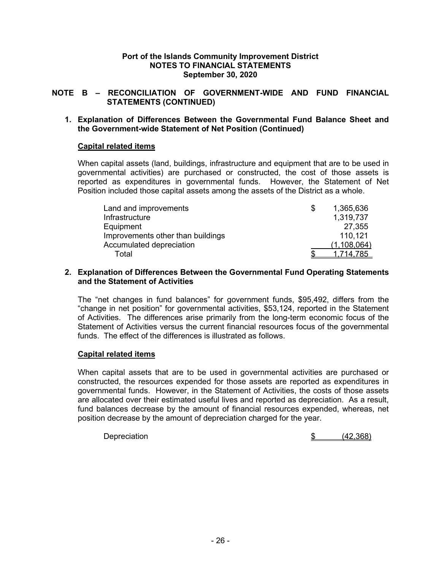#### NOTE B – RECONCILIATION OF GOVERNMENT-WIDE AND FUND FINANCIAL **STATEMENTS (CONTINUED)**

 **the Government-wide Statement of Net Position (Continued) 1. Explanation of Differences Between the Governmental Fund Balance Sheet and** 

#### **Capital related items**

 reported as expenditures in governmental funds. However, the Statement of Net When capital assets (land, buildings, infrastructure and equipment that are to be used in governmental activities) are purchased or constructed, the cost of those assets is Position included those capital assets among the assets of the District as a whole.

| Land and improvements             | \$. | 1,365,636     |
|-----------------------------------|-----|---------------|
| Infrastructure                    |     | 1,319,737     |
| Equipment                         |     | 27,355        |
| Improvements other than buildings |     | 110,121       |
| Accumulated depreciation          |     | (1, 108, 064) |
| Total                             |     | 1.714,785     |

#### **2. Explanation of Differences Between the Governmental Fund Operating Statements and the Statement of Activities**

 "change in net position" for governmental activities, \$53,124, reported in the Statement of Activities. The differences arise primarily from the long-term economic focus of the funds. The effect of the differences is illustrated as follows. The "net changes in fund balances" for government funds, \$95,492, differs from the Statement of Activities versus the current financial resources focus of the governmental

#### **Capital related items**

 When capital assets that are to be used in governmental activities are purchased or governmental funds. However, in the Statement of Activities, the costs of those assets constructed, the resources expended for those assets are reported as expenditures in are allocated over their estimated useful lives and reported as depreciation. As a result, fund balances decrease by the amount of financial resources expended, whereas, net position decrease by the amount of depreciation charged for the year.

Depreciation  $\underline{\$}$  (42,368)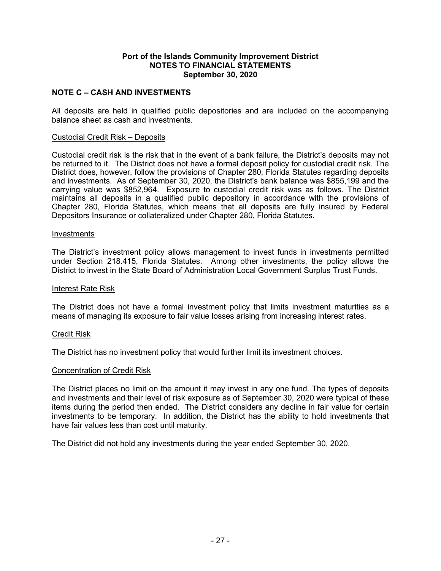#### **NOTE C – CASH AND INVESTMENTS**

 All deposits are held in qualified public depositories and are included on the accompanying balance sheet as cash and investments.

#### Custodial Credit Risk – Deposits

 Custodial credit risk is the risk that in the event of a bank failure, the District's deposits may not be returned to it. The District does not have a formal deposit policy for custodial credit risk. The District does, however, follow the provisions of Chapter 280, Florida Statutes regarding deposits and investments. As of September 30, 2020, the District's bank balance was \$855,199 and the carrying value was \$852,964. Exposure to custodial credit risk was as follows. The District Chapter 280, Florida Statutes, which means that all deposits are fully insured by Federal maintains all deposits in a qualified public depository in accordance with the provisions of Depositors Insurance or collateralized under Chapter 280, Florida Statutes.

#### Investments

 under Section 218.415, Florida Statutes. Among other investments, the policy allows the The District's investment policy allows management to invest funds in investments permitted District to invest in the State Board of Administration Local Government Surplus Trust Funds.

#### Interest Rate Risk

The District does not have a formal investment policy that limits investment maturities as a means of managing its exposure to fair value losses arising from increasing interest rates.

#### Credit Risk

The District has no investment policy that would further limit its investment choices.

#### Concentration of Credit Risk

 and investments and their level of risk exposure as of September 30, 2020 were typical of these items during the period then ended. The District considers any decline in fair value for certain have fair values less than cost until maturity. The District places no limit on the amount it may invest in any one fund. The types of deposits investments to be temporary. In addition, the District has the ability to hold investments that

The District did not hold any investments during the year ended September 30, 2020.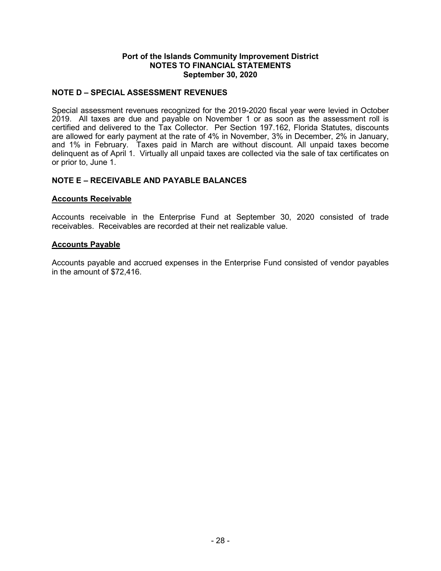### **September 30, 2020 NOTE D – SPECIAL ASSESSMENT REVENUES**

 2019. All taxes are due and payable on November 1 or as soon as the assessment roll is certified and delivered to the Tax Collector. Per Section 197.162, Florida Statutes, discounts and 1% in February. Taxes paid in March are without discount. All unpaid taxes become delinquent as of April 1. Virtually all unpaid taxes are collected via the sale of tax certificates on Special assessment revenues recognized for the 2019-2020 fiscal year were levied in October are allowed for early payment at the rate of 4% in November, 3% in December, 2% in January, or prior to, June 1.

#### **NOTE E – RECEIVABLE AND PAYABLE BALANCES**

#### **Accounts Receivable**

Accounts receivable in the Enterprise Fund at September 30, 2020 consisted of trade receivables. Receivables are recorded at their net realizable value.

#### **Accounts Payable**

in the amount of \$72,416. Accounts payable and accrued expenses in the Enterprise Fund consisted of vendor payables in the amount of \$72,416.  $-$  28 -  $-$  28 -  $-$  28  $-$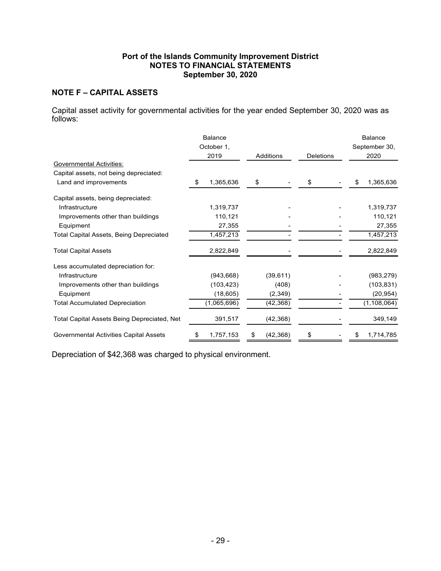### **September 30, 2020 September 30, 2020 NOTE F – CAPITAL ASSETS Port of the Islands Community Improvement District NOTES TO FINANCIAL STATEMENTS**

 Capital asset activity for governmental activities for the year ended September 30, 2020 was as follows:

|                                                | <b>Balance</b>  |           |                  |    | <b>Balance</b> |
|------------------------------------------------|-----------------|-----------|------------------|----|----------------|
|                                                | October 1,      |           |                  |    | September 30,  |
|                                                | 2019            | Additions | <b>Deletions</b> |    | 2020           |
| <b>Governmental Activities:</b>                |                 |           |                  |    |                |
| Capital assets, not being depreciated:         |                 |           |                  |    |                |
| Land and improvements                          | \$<br>1,365,636 | \$        | \$               | \$ | 1,365,636      |
| Capital assets, being depreciated:             |                 |           |                  |    |                |
| Infrastructure                                 | 1,319,737       |           |                  |    | 1,319,737      |
| Improvements other than buildings              | 110,121         |           |                  |    | 110,121        |
| Equipment                                      | 27,355          |           |                  |    | 27,355         |
| <b>Total Capital Assets, Being Depreciated</b> | 1,457,213       |           |                  |    | 1,457,213      |
| <b>Total Capital Assets</b>                    | 2,822,849       |           |                  |    | 2,822,849      |
| Less accumulated depreciation for:             |                 |           |                  |    |                |
| Infrastructure                                 | (943, 668)      | (39,611)  |                  |    | (983,279)      |
| Improvements other than buildings              | (103, 423)      | (408)     |                  |    | (103, 831)     |
| Equipment                                      | (18,605)        | (2,349)   |                  |    | (20, 954)      |
| <b>Total Accumulated Depreciation</b>          | (1,065,696)     | (42, 368) |                  |    | (1, 108, 064)  |
| Total Capital Assets Being Depreciated, Net    | 391,517         | (42, 368) |                  |    | 349,149        |
| Governmental Activities Capital Assets         | 1,757,153       | (42, 368) | \$               |    | 1,714,785      |

Depreciation of \$42,368 was charged to physical environment.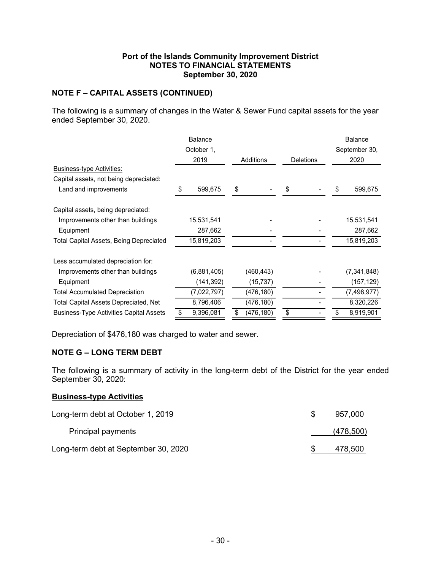## **September 30, 2020 NOTE F – CAPITAL ASSETS (CONTINUED)**

The following is a summary of changes in the Water & Sewer Fund capital assets for the year ended September 30, 2020.

|                                                | <b>Balance</b> |                 |                  | <b>Balance</b> |
|------------------------------------------------|----------------|-----------------|------------------|----------------|
|                                                | October 1,     |                 |                  | September 30,  |
|                                                | 2019           | Additions       | <b>Deletions</b> | 2020           |
| <b>Business-type Activities:</b>               |                |                 |                  |                |
| Capital assets, not being depreciated:         |                |                 |                  |                |
| Land and improvements                          | 599,675<br>S   | \$              | \$               | 599,675<br>\$  |
| Capital assets, being depreciated:             |                |                 |                  |                |
| Improvements other than buildings              | 15,531,541     |                 |                  | 15,531,541     |
| Equipment                                      | 287,662        |                 |                  | 287,662        |
| Total Capital Assets, Being Depreciated        | 15,819,203     |                 |                  | 15,819,203     |
| Less accumulated depreciation for:             |                |                 |                  |                |
| Improvements other than buildings              | (6,881,405)    | (460, 443)      |                  | (7, 341, 848)  |
| Equipment                                      | (141, 392)     | (15, 737)       |                  | (157, 129)     |
| <b>Total Accumulated Depreciation</b>          | (7,022,797)    | (476, 180)      |                  | (7, 498, 977)  |
| Total Capital Assets Depreciated, Net          | 8,796,406      | (476, 180)      |                  | 8,320,226      |
| <b>Business-Type Activities Capital Assets</b> | 9,396,081<br>S | (476,180)<br>\$ | \$               | 8,919,901<br>S |

Depreciation of \$476,180 was charged to water and sewer.

#### **NOTE G – LONG TERM DEBT**

 The following is a summary of activity in the long-term debt of the District for the year ended September 30, 2020:

#### **Business-type Activities**

| Long-term debt at October 1, 2019    | 957.000    |
|--------------------------------------|------------|
| <b>Principal payments</b>            | (478, 500) |
| Long-term debt at September 30, 2020 | 478.500    |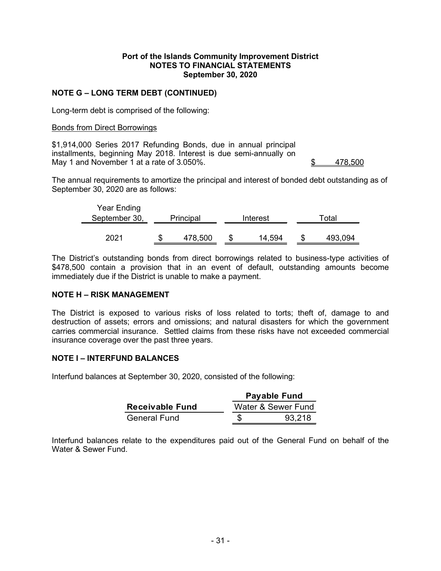## **September 30, 2020 NOTE G – LONG TERM DEBT (CONTINUED)**

Long-term debt is comprised of the following:

#### Bonds from Direct Borrowings

 \$1,914,000 Series 2017 Refunding Bonds, due in annual principal May 1 and November 1 at a rate of 3.050%.  $$ 8 \qquad 478,500$ installments, beginning May 2018. Interest is due semi-annually on

 September 30, 2020 are as follows: The annual requirements to amortize the principal and interest of bonded debt outstanding as of

| Year Ending<br>September 30, | Principal<br>Interest |         | Гоtal |        |         |
|------------------------------|-----------------------|---------|-------|--------|---------|
| 2021                         |                       | 478,500 |       | 14.594 | 493,094 |

 The District's outstanding bonds from direct borrowings related to business-type activities of \$478,500 contain a provision that in an event of default, outstanding amounts become immediately due if the District is unable to make a payment.

#### **NOTE H – RISK MANAGEMENT**

 The District is exposed to various risks of loss related to torts; theft of, damage to and destruction of assets; errors and omissions; and natural disasters for which the government carries commercial insurance. Settled claims from these risks have not exceeded commercial insurance coverage over the past three years.

#### **NOTE I – INTERFUND BALANCES**

Interfund balances at September 30, 2020, consisted of the following:

|                        | <b>Payable Fund</b> |
|------------------------|---------------------|
| <b>Receivable Fund</b> | Water & Sewer Fund  |
| <b>General Fund</b>    | 93.218              |

 Interfund balances relate to the expenditures paid out of the General Fund on behalf of the Water & Sewer Fund.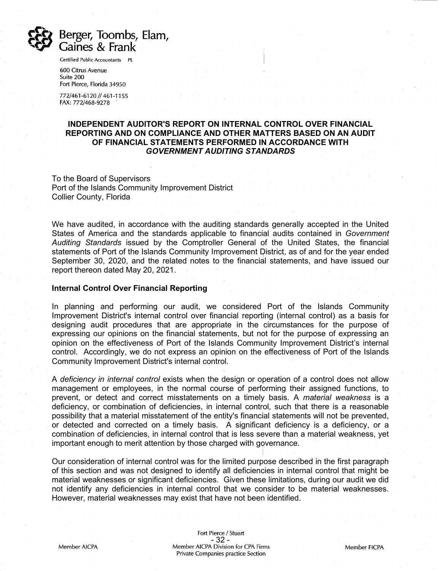

Certified Public Accountants PL

600 Citrus Avenue Suite 200 Fort Pierce, Florida 34950

7721461-6120 II 461-1155 FAX: 772/468-9278

#### **INDEPENDENT AUDITOR'S REPORT ON INTERNAL CONTROL OVER FINANCIAL REPORTING AND ON COMPLIANCE AND OTHER MATTERS BASED ON AN AUDIT OF FINANCIAL STATEMENTS PERFORMED IN ACCORDANCE WITH**  *GOVERNMENT AUDITING STANDARDS*

#### To the Board of Supervisors Port of the Islands Community Improvement District Collier County, Florida

 *Auditing Standards* issued by the Comptroller General of the United States, the financial statements of Port of the Islands Community Improvement District, as of and for the year ended report thereon dated May 20, 2021. We have audited, in accordance with the auditing standards generally accepted in the United States of America and the standards applicable to financial audits contained in *Government*  September 30, 2020, and the related notes to the financial statements, and have issued our

#### **Internal Control Over Financial Reporting**

 designing audit procedures that are appropriate in the circumstances for the purpose of expressing our opinions on the financial statements, but not for the purpose of expressing an opinion on the effectiveness of Port of the Islands Community Improvement District's internal control. Accordingly, we do not express an opinion on the effectiveness of Port of the Islands In planning and performing our audit, we considered Port of the Islands Community Improvement District's internal control over financial reporting (internal control) as a basis for Community Improvement District's internal control.

 A *deficiency in internal control* exists when the design or operation of a control does not allow management or employees, in the normal course of performing their assigned functions, to or detected and corrected on a timely basis. A significant deficiency is a deficiency, or a combination of deficiencies, in internal control that is less severe than a material weakness, yet prevent, or detect and correct misstatements on a timely basis. A *material weakness* is a deficiency, or combination of deficiencies, in internal control, such that there is a reasonable possibility that a material misstatement of the entity's financial statements will not be prevented, important enough to merit attention by those charged with governance.

 Our consideration of internal control was for the limited purpose described in the first paragraph material weaknesses or significant deficiencies. Given these limitations, during our audit we did not identify any deficiencies in internal control that we consider to be material weaknesses. However, material weaknesses may exist that have not been identified. of this section and was not designed to identify all deficiencies in internal control that might be

Fort Pierce / Stuart Member AICPA Division for CPA Firms Private Companies practice Section - 32 -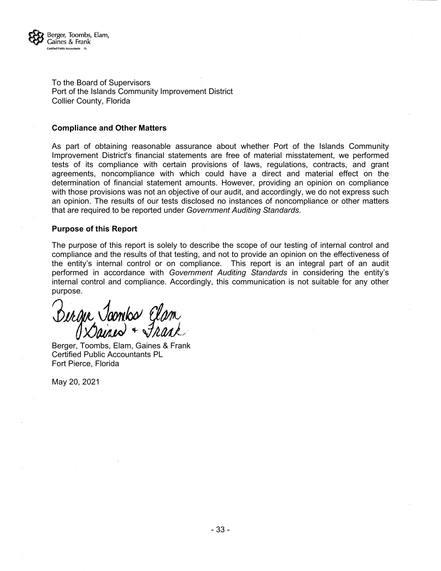

To the Board of Supervisors Port of the Islands Community Improvement District Collier County, Florida

#### **Compliance and Other Matters**

 tests of its compliance with certain provisions of laws, regulations, contracts, and grant an opinion. The results of our tests disclosed no instances of noncompliance or other matters As part of obtaining reasonable assurance about whether Port of the Islands Community Improvement District's financial statements are free of material misstatement, we performed agreements, noncompliance with which could have a direct and material effect on the determination of financial statement amounts. However, providing an opinion on compliance with those provisions was not an objective of our audit, and accordingly, we do not express such that are required to be reported under *Government Auditing Standards*.

#### **Purpose of this Report**

 The purpose of this report is solely to describe the scope of our testing of internal control and compliance and the results of that testing, and not to provide an opinion on the effectiveness of the entity's internal control or on compliance. This report is an integral part of an audit performed in accordance with *Government Auditing Standards* in considering the entity's internal control and compliance. Accordingly, this communication is not suitable for any other purpose.

Birgir Joonbo Elam

 Certified Public Accountants PL Berger, Toombs, Elam, Gaines & Frank Fort Pierce, Florida

May 20, 2021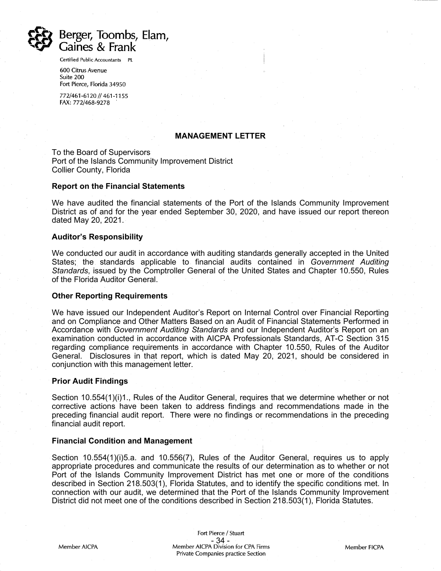

Certified Public Accountants PL

600 Citrus Avenue Suite 200 Fort Pierce, Florida 34950

7721461-6120 II 461-1155 FAX: 772/468-9278

#### **MANAGEMENT LETTER**

To the Board of Supervisors Port of the Islands Community Improvement District Collier County, Florida

#### **Report on the Financial Statements**

 District as of and for the year ended September 30, 2020, and have issued our report thereon We have audited the financial statements of the Port of the Islands Community Improvement dated May 20, 2021.

#### **Auditor's Responsibility**

We conducted our audit in accordance with auditing standards generally accepted in the United States; the standards applicable to financial audits contained in *Government Auditing Standards*, issued by the Comptroller General of the United States and Chapter 10.550, Rules of the Florida Auditor General.

#### **Other Reporting Requirements**

 Accordance with *Government Auditing Standards* and our Independent Auditor's Report on an examination conducted in accordance with AICPA Professionals Standards, AT-C Section 315 General. Disclosures in that report, which is dated May 20, 2021, should be considered in We have issued our Independent Auditor's Report on Internal Control over Financial Reporting and on Compliance and Other Matters Based on an Audit of Financial Statements Performed in regarding compliance requirements in accordance with Chapter 10.550, Rules of the Auditor conjunction with this management letter.

#### **Prior Audit Findings**

 Section 10.554(1)(i)1., Rules of the Auditor General, requires that we determine whether or not preceding financial audit report. There were no findings or recommendations in the preceding financial audit report. corrective actions have been taken to address findings and recommendations made in the

#### **Financial Condition and Management**

 Section 10.554(1)(i)5.a. and 10.556(7), Rules of the Auditor General, requires us to apply Port of the Islands Community Improvement District has met one or more of the conditions District did not meet one of the conditions described in Section 218.503(1), Florida Statutes. appropriate procedures and communicate the results of our determination as to whether or not described in Section 218.503(1), Florida Statutes, and to identify the specific conditions met. In connection with our audit, we determined that the Port of the Islands Community Improvement

Fort Pierce / Stuart Member AICPA Division for CPA Firms - 34 -Private Companies practice Section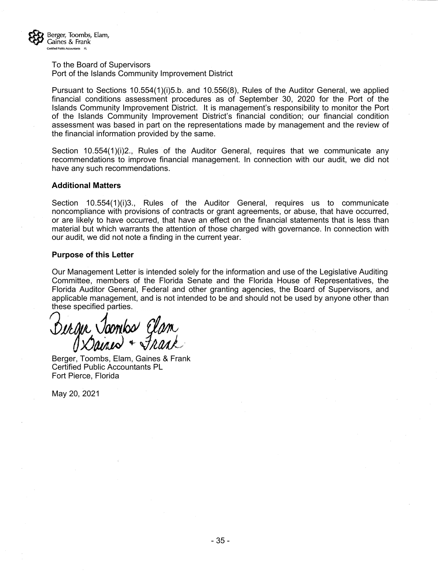

#### To the Board of Supervisors

Port of the Islands Community Improvement District

 Pursuant to Sections 10.554(1)(i)5.b. and 10.556(8), Rules of the Auditor General, we applied financial conditions assessment procedures as of September 30, 2020 for the Port of the Islands Community Improvement District. It is management's responsibility to monitor the Port of the Islands Community Improvement District's financial condition; our financial condition assessment was based in part on the representations made by management and the review of the financial information provided by the same.

 Section 10.554(1)(i)2., Rules of the Auditor General, requires that we communicate any recommendations to improve financial management. In connection with our audit, we did not have any such recommendations.

#### **Additional Matters**

 Section 10.554(1)(i)3., Rules of the Auditor General, requires us to communicate or are likely to have occurred, that have an effect on the financial statements that is less than our audit, we did not note a finding in the current year. noncompliance with provisions of contracts or grant agreements, or abuse, that have occurred, material but which warrants the attention of those charged with governance. In connection with

#### **Purpose of this Letter**

 Committee, members of the Florida Senate and the Florida House of Representatives, the applicable management, and is not intended to be and should not be used by anyone other than Our Management Letter is intended solely for the information and use of the Legislative Auditing Florida Auditor General, Federal and other granting agencies, the Board of Supervisors, and these specified parties.

Birgir Joonbo Glam<br>Ixaines + Frank

 Certified Public Accountants PL Berger, Toombs, Elam, Gaines & Frank Fort Pierce, Florida

May 20, 2021